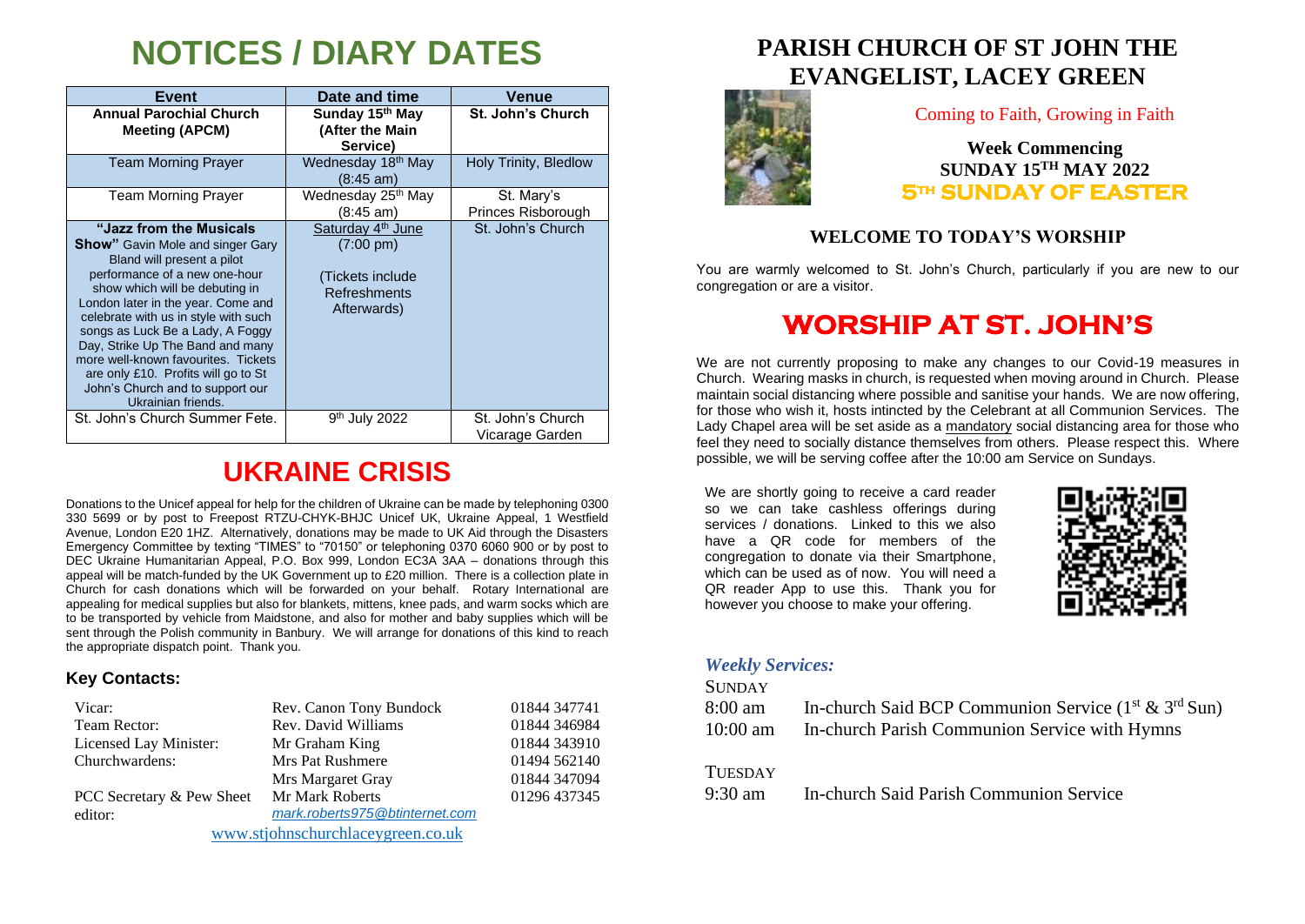# **NOTICES / DIARY DATES**

| <b>Event</b>                                                                                                                                                                                                                                                                                                                                                                                                                                                        | Date and time                                                                                           | Venue                                |
|---------------------------------------------------------------------------------------------------------------------------------------------------------------------------------------------------------------------------------------------------------------------------------------------------------------------------------------------------------------------------------------------------------------------------------------------------------------------|---------------------------------------------------------------------------------------------------------|--------------------------------------|
| <b>Annual Parochial Church</b><br><b>Meeting (APCM)</b>                                                                                                                                                                                                                                                                                                                                                                                                             | Sunday 15th May<br>(After the Main<br>Service)                                                          | <b>St. John's Church</b>             |
| <b>Team Morning Prayer</b>                                                                                                                                                                                                                                                                                                                                                                                                                                          | Wednesday 18 <sup>th</sup> May<br>$(8:45 \text{ am})$                                                   | Holy Trinity, Bledlow                |
| <b>Team Morning Prayer</b>                                                                                                                                                                                                                                                                                                                                                                                                                                          | Wednesday 25 <sup>th</sup> May<br>(8:45 am)                                                             | St. Mary's<br>Princes Risborough     |
| "Jazz from the Musicals"<br><b>Show</b> " Gavin Mole and singer Gary<br>Bland will present a pilot<br>performance of a new one-hour<br>show which will be debuting in<br>London later in the year. Come and<br>celebrate with us in style with such<br>songs as Luck Be a Lady, A Foggy<br>Day, Strike Up The Band and many<br>more well-known favourites. Tickets<br>are only £10. Profits will go to St<br>John's Church and to support our<br>Ukrainian friends. | Saturday 4 <sup>th</sup> June<br>$(7:00 \text{ pm})$<br>(Tickets include<br>Refreshments<br>Afterwards) | St. John's Church                    |
| St. John's Church Summer Fete.                                                                                                                                                                                                                                                                                                                                                                                                                                      | 9 <sup>th</sup> July 2022                                                                               | St. John's Church<br>Vicarage Garden |

## **UKRAINE CRISIS**

Donations to the Unicef appeal for help for the children of Ukraine can be made by telephoning 0300 330 5699 or by post to Freepost RTZU-CHYK-BHJC Unicef UK, Ukraine Appeal, 1 Westfield Avenue, London E20 1HZ. Alternatively, donations may be made to UK Aid through the Disasters Emergency Committee by texting "TIMES" to "70150" or telephoning 0370 6060 900 or by post to DEC Ukraine Humanitarian Appeal, P.O. Box 999, London EC3A 3AA – donations through this appeal will be match-funded by the UK Government up to £20 million. There is a collection plate in Church for cash donations which will be forwarded on your behalf. Rotary International are appealing for medical supplies but also for blankets, mittens, knee pads, and warm socks which are to be transported by vehicle from Maidstone, and also for mother and baby supplies which will be sent through the Polish community in Banbury. We will arrange for donations of this kind to reach the appropriate dispatch point. Thank you.

### **Key Contacts:**

| Vicar:                            | Rev. Canon Tony Bundock        | 01844 347741 |
|-----------------------------------|--------------------------------|--------------|
| Team Rector:                      | Rev. David Williams            | 01844 346984 |
| Licensed Lay Minister:            | Mr Graham King                 | 01844 343910 |
| Churchwardens:                    | <b>Mrs Pat Rushmere</b>        | 01494 562140 |
|                                   | Mrs Margaret Gray              | 01844 347094 |
| PCC Secretary & Pew Sheet         | Mr Mark Roberts                | 01296 437345 |
| editor:                           | mark.roberts975@btinternet.com |              |
| www.stjohnschurchlaceygreen.co.uk |                                |              |

**PARISH CHURCH OF ST JOHN THE EVANGELIST, LACEY GREEN**



Coming to Faith, Growing in Faith

**Week Commencing SUNDAY 15TH MAY 2022 5th SUNDAY OF EASTER** 

### **WELCOME TO TODAY'S WORSHIP**

You are warmly welcomed to St. John's Church, particularly if you are new to our congregation or are a visitor.

### **WORSHIP AT ST. JOHN'S**

We are not currently proposing to make any changes to our Covid-19 measures in Church. Wearing masks in church, is requested when moving around in Church. Please maintain social distancing where possible and sanitise your hands. We are now offering, for those who wish it, hosts intincted by the Celebrant at all Communion Services. The Lady Chapel area will be set aside as a mandatory social distancing area for those who feel they need to socially distance themselves from others. Please respect this. Where possible, we will be serving coffee after the 10:00 am Service on Sundays.

We are shortly going to receive a card reader so we can take cashless offerings during services / donations. Linked to this we also have a QR code for members of the congregation to donate via their Smartphone, which can be used as of now. You will need a QR reader App to use this. Thank you for however you choose to make your offering.



#### *Weekly Services:*

**SUNDAY** 

| 8:00 am  | In-church Said BCP Communion Service $(1^{st} \& 3^{rd} Sun)$ |
|----------|---------------------------------------------------------------|
| 10:00 am | In-church Parish Communion Service with Hymns                 |
| Tuesday  |                                                               |

9:30 am In-church Said Parish Communion Service